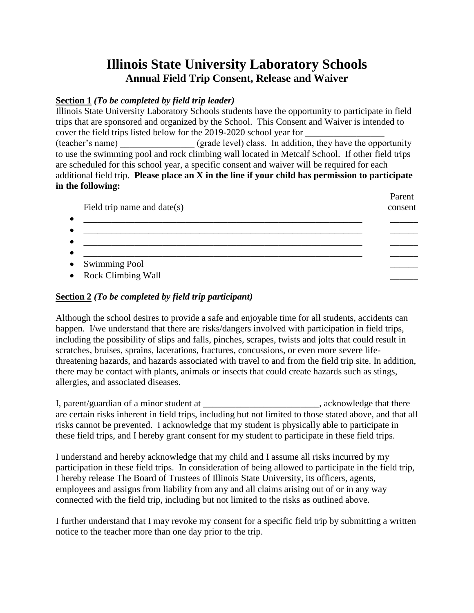## **Illinois State University Laboratory Schools Annual Field Trip Consent, Release and Waiver**

## **Section 1** *(To be completed by field trip leader)*

Illinois State University Laboratory Schools students have the opportunity to participate in field trips that are sponsored and organized by the School. This Consent and Waiver is intended to cover the field trips listed below for the 2019-2020 school year for (teacher's name) (grade level) class. In addition, they have the opportunity to use the swimming pool and rock climbing wall located in Metcalf School. If other field trips are scheduled for this school year, a specific consent and waiver will be required for each additional field trip. **Please place an X in the line if your child has permission to participate in the following:**

| Field trip name and date(s) | T avont<br>consent |
|-----------------------------|--------------------|
|                             |                    |
|                             |                    |
| • Swimming Pool             |                    |
| • Rock Climbing Wall        |                    |

Parent

## **Section 2** *(To be completed by field trip participant)*

Although the school desires to provide a safe and enjoyable time for all students, accidents can happen. I/we understand that there are risks/dangers involved with participation in field trips, including the possibility of slips and falls, pinches, scrapes, twists and jolts that could result in scratches, bruises, sprains, lacerations, fractures, concussions, or even more severe lifethreatening hazards, and hazards associated with travel to and from the field trip site. In addition, there may be contact with plants, animals or insects that could create hazards such as stings, allergies, and associated diseases.

I, parent/guardian of a minor student at \_\_\_\_\_\_\_\_\_\_\_\_\_\_\_\_\_\_\_\_\_\_\_\_\_, acknowledge that there are certain risks inherent in field trips, including but not limited to those stated above, and that all risks cannot be prevented. I acknowledge that my student is physically able to participate in these field trips, and I hereby grant consent for my student to participate in these field trips.

I understand and hereby acknowledge that my child and I assume all risks incurred by my participation in these field trips. In consideration of being allowed to participate in the field trip, I hereby release The Board of Trustees of Illinois State University, its officers, agents, employees and assigns from liability from any and all claims arising out of or in any way connected with the field trip, including but not limited to the risks as outlined above.

I further understand that I may revoke my consent for a specific field trip by submitting a written notice to the teacher more than one day prior to the trip.